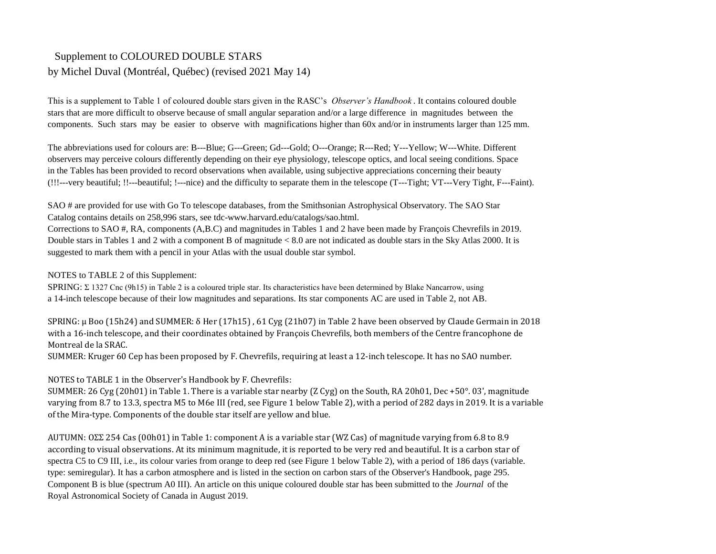## Supplement to COLOURED DOUBLE STARS by Michel Duval (Montréal, Québec) (revised 2021 May 14)

components. Such stars may be easier to observe with magnifications higher than 60x and/or in instruments larger than 125 mm. This is a supplement to Table 1 of coloured double stars given in the RASC's *Observer's Handbook* . It contains coloured double stars that are more difficult to observe because of small angular separation and/or a large difference in magnitudes between the

The abbreviations used for colours are: B---Blue; G---Green; Gd---Gold; O---Orange; R---Red; Y---Yellow; W---White. Different observers may perceive colours differently depending on their eye physiology, telescope optics, and local seeing conditions. Space in the Tables has been provided to record observations when available, using subjective appreciations concerning their beauty (!!!---very beautiful; !!---beautiful; !---nice) and the difficulty to separate them in the telescope (T---Tight; VT---Very Tight, F---Faint).

SAO # are provided for use with Go To telescope databases, from the Smithsonian Astrophysical Observatory. The SAO Star Catalog contains details on 258,996 stars, see tdc-www.harvard.edu/catalogs/sao.html. Corrections to SAO #, RA, components (A,B.C) and magnitudes in Tables 1 and 2 have been made by François Chevrefils in 2019. Double stars in Tables 1 and 2 with a component B of magnitude < 8.0 are not indicated as double stars in the Sky Atlas 2000. It is suggested to mark them with a pencil in your Atlas with the usual double star symbol.

NOTES to TABLE 2 of this Supplement:

SPRING: Σ 1327 Cnc (9h15) in Table 2 is a coloured triple star. Its characteristics have been determined by Blake Nancarrow, using a 14-inch telescope because of their low magnitudes and separations. Its star components AC are used in Table 2, not AB.

with a 16-inch telescope, and their coordinates obtained by François Chevrefils, both members of the Centre francophone de Montreal de la SRAC. SPRING: μ Boo (15h24) and SUMMER: δ Her (17h15) , 61 Cyg (21h07) in Table 2 have been observed by Claude Germain in 2018

SUMMER: Kruger 60 Cep has been proposed by F. Chevrefils, requiring at least a 12-inch telescope. It has no SAO number.

NOTES to TABLE 1 in the Observer's Handbook by F. Chevrefils:

SUMMER: 26 Cyg (20h01) in Table 1. There is a variable star nearby (Z Cyg) on the South, RA 20h01, Dec +50°. 03', magnitude varying from 8.7 to 13.3, spectra M5 to M6e III (red, see Figure 1 below Table 2), with a period of 282 days in 2019. It is a variable of the Mira-type. Components of the double star itself are yellow and blue.

AUTUMN: OΣΣ 254 Cas (00h01) in Table 1: component A is a variable star (WZ Cas) of magnitude varying from 6.8 to 8.9 according to visual observations. At its minimum magnitude, it is reported to be very red and beautiful. It is a carbon star of spectra C5 to C9 III, i.e., its colour varies from orange to deep red (see Figure 1 below Table 2), with a period of 186 days (variable. type: semiregular). It has a carbon atmosphere and is listed in the section on carbon stars of the Observer's Handbook, page 295. Component B is blue (spectrum A0 III). An article on this unique coloured double star has been submitted to the *Journal* of the Royal Astronomical Society of Canada in August 2019.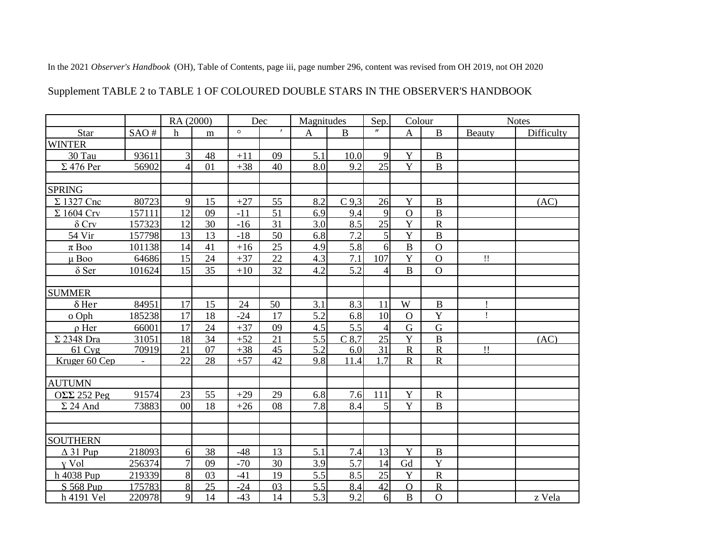In the 2021 Observer's Handbook (OH), Table of Contents, page iii, page number 296, content was revised from OH 2019, not OH 2020

## Supplement TABLE 2 to TABLE 1 OF COLOURED DOUBLE STARS IN THE OBSERVER'S HANDBOOK

|                         |                          | RA (2000)      |    | Dec     |              | Magnitudes |          | Sep.              | Colour                  |                | <b>Notes</b> |            |
|-------------------------|--------------------------|----------------|----|---------|--------------|------------|----------|-------------------|-------------------------|----------------|--------------|------------|
| Star                    | SAO#                     | $\mathbf h$    | m  | $\circ$ | $\mathbf{r}$ | A          | $\bf{B}$ | $^{\prime\prime}$ | $\mathbf{A}$            | $\bf{B}$       | Beauty       | Difficulty |
| <b>WINTER</b>           |                          |                |    |         |              |            |          |                   |                         |                |              |            |
| 30 Tau                  | 93611                    | 3              | 48 | $+11$   | 09           | 5.1        | 10.0     | $\mathbf{Q}$      | Y                       | $\bf{B}$       |              |            |
| $\Sigma$ 476 Per        | 56902                    | 4              | 01 | $+38$   | 40           | 8.0        | 9.2      | 25                | Y                       | $\overline{B}$ |              |            |
|                         |                          |                |    |         |              |            |          |                   |                         |                |              |            |
| <b>SPRING</b>           |                          |                |    |         |              |            |          |                   |                         |                |              |            |
| $\Sigma$ 1327 Cnc       | 80723                    | $\overline{9}$ | 15 | $+27$   | 55           | 8.2        | $C$ 9.3  | 26                | Y                       | $\bf{B}$       |              | (AC)       |
| $\Sigma$ 1604 Crv       | 157111                   | 12             | 09 | $-11$   | 51           | 6.9        | 9.4      | $\mathbf{Q}$      | $\overline{O}$          | $\overline{B}$ |              |            |
| $\delta$ Crv            | 157323                   | 12             | 30 | $-16$   | 31           | 3.0        | 8.5      | 25                | $\mathbf Y$             | $\mathbf R$    |              |            |
| 54 Vir                  | 157798                   | 13             | 13 | $-18$   | 50           | 6.8        | 7.2      | 5 <sub>l</sub>    | Y                       | $\bf{B}$       |              |            |
| $\pi$ Boo               | 101138                   | 14             | 41 | $+16$   | 25           | 4.9        | 5.8      | 6                 | $\overline{B}$          | $\mathbf{O}$   |              |            |
| $\mu$ Boo               | 64686                    | 15             | 24 | $+37$   | 22           | 4.3        | 7.1      | 107               | Y                       | $\Omega$       | $\mathbf{H}$ |            |
| $\delta$ Ser            | 101624                   | 15             | 35 | $+10$   | 32           | 4.2        | 5.2      |                   | $\bf{B}$                | $\overline{O}$ |              |            |
|                         |                          |                |    |         |              |            |          |                   |                         |                |              |            |
| <b>SUMMER</b>           |                          |                |    |         |              |            |          |                   |                         |                |              |            |
| $\delta$ Her            | 84951                    | 17             | 15 | 24      | 50           | 3.1        | 8.3      | 11                | W                       | $\, {\bf B}$   |              |            |
| o Oph                   | 185238                   | 17             | 18 | $-24$   | 17           | 5.2        | 6.8      | 10                | $\Omega$                | Y              | $\mathbf{I}$ |            |
| $\rho$ Her              | 66001                    | 17             | 24 | $+37$   | 09           | 4.5        | 5.5      | $\overline{4}$    | $\overline{G}$          | G              |              |            |
| $\Sigma$ 2348 Dra       | 31051                    | 18             | 34 | $+52$   | 21           | 5.5        | $C$ 8.7  | 25                | Y                       | $\overline{B}$ |              | (AC)       |
| 61 Cyg                  | 70919                    | 21             | 07 | $+38$   | 45           | 5.2        | 6.0      | 31                | $\overline{\mathbf{R}}$ | $\mathbf R$    | $\mathbf{H}$ |            |
| Kruger 60 Cep           | $\overline{\phantom{a}}$ | 22             | 28 | $+57$   | 42           | 9.8        | 11.4     | 17                | $\mathbf R$             | $\mathbf R$    |              |            |
|                         |                          |                |    |         |              |            |          |                   |                         |                |              |            |
| <b>AUTUMN</b>           |                          |                |    |         |              |            |          |                   | Y                       |                |              |            |
| $O\Sigma\Sigma$ 252 Peg | 91574                    | 23             | 55 | $+29$   | 29           | 6.8        | 7.6      | 111               |                         | $\mathbf R$    |              |            |
| $\Sigma$ 24 And         | 73883                    | 00             | 18 | $+26$   | 08           | 7.8        | 8.4      | $\mathcal{F}$     | Y                       | $\bf{B}$       |              |            |
|                         |                          |                |    |         |              |            |          |                   |                         |                |              |            |
| <b>SOUTHERN</b>         |                          |                |    |         |              |            |          |                   |                         |                |              |            |
| $\Delta$ 31 Pup         | 218093                   | 6              | 38 | $-48$   | 13           | 5.1        | 7.4      | 13                | Y                       | $\, {\bf B}$   |              |            |
| y Vol                   | 256374                   | $\overline{7}$ | 09 | $-70$   | 30           | 3.9        | 5.7      | 14                | Gd                      | Y              |              |            |
| h 4038 Pup              | 219339                   | $\infty$       | 03 | $-41$   | 19           | 5.5        | 8.5      | 25                | Y                       | $\mathbf R$    |              |            |
| S 568 Pup               | 175783                   | 8              | 25 | $-24$   | 03           | 5.5        | 8.4      | 42                | $\overline{O}$          | $\mathbf R$    |              |            |
| h 4191 Vel              | 220978                   | $\overline{9}$ | 14 | $-43$   | 14           | 5.3        | 9.2      | 6                 | $\, {\bf B}$            | $\overline{O}$ |              | z Vela     |